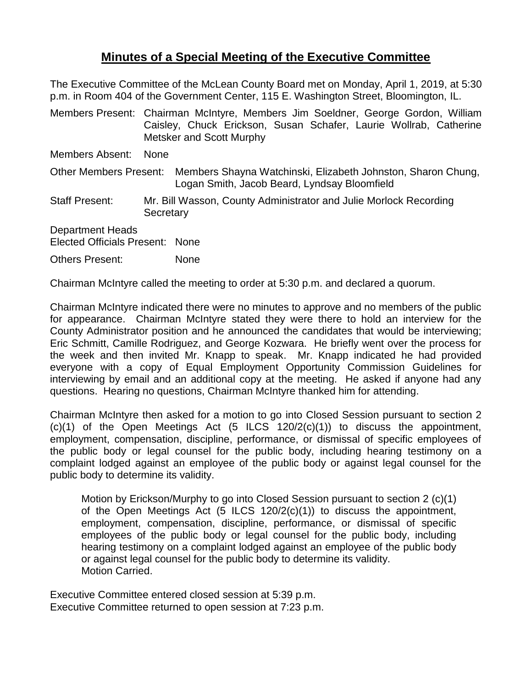## **Minutes of a Special Meeting of the Executive Committee**

The Executive Committee of the McLean County Board met on Monday, April 1, 2019, at 5:30 p.m. in Room 404 of the Government Center, 115 E. Washington Street, Bloomington, IL.

Members Present: Chairman McIntyre, Members Jim Soeldner, George Gordon, William Caisley, Chuck Erickson, Susan Schafer, Laurie Wollrab, Catherine Metsker and Scott Murphy

Members Absent: None

Other Members Present: Members Shayna Watchinski, Elizabeth Johnston, Sharon Chung, Logan Smith, Jacob Beard, Lyndsay Bloomfield

Staff Present: Mr. Bill Wasson, County Administrator and Julie Morlock Recording **Secretary** 

Department Heads Elected Officials Present: None

Others Present: None

Chairman McIntyre called the meeting to order at 5:30 p.m. and declared a quorum.

Chairman McIntyre indicated there were no minutes to approve and no members of the public for appearance. Chairman McIntyre stated they were there to hold an interview for the County Administrator position and he announced the candidates that would be interviewing; Eric Schmitt, Camille Rodriguez, and George Kozwara. He briefly went over the process for the week and then invited Mr. Knapp to speak. Mr. Knapp indicated he had provided everyone with a copy of Equal Employment Opportunity Commission Guidelines for interviewing by email and an additional copy at the meeting. He asked if anyone had any questions. Hearing no questions, Chairman McIntyre thanked him for attending.

Chairman McIntyre then asked for a motion to go into Closed Session pursuant to section 2  $(c)(1)$  of the Open Meetings Act  $(5$  ILCS  $120/2(c)(1))$  to discuss the appointment, employment, compensation, discipline, performance, or dismissal of specific employees of the public body or legal counsel for the public body, including hearing testimony on a complaint lodged against an employee of the public body or against legal counsel for the public body to determine its validity.

Motion by Erickson/Murphy to go into Closed Session pursuant to section 2 (c)(1) of the Open Meetings Act (5 ILCS 120/2(c)(1)) to discuss the appointment, employment, compensation, discipline, performance, or dismissal of specific employees of the public body or legal counsel for the public body, including hearing testimony on a complaint lodged against an employee of the public body or against legal counsel for the public body to determine its validity. Motion Carried.

Executive Committee entered closed session at 5:39 p.m. Executive Committee returned to open session at 7:23 p.m.